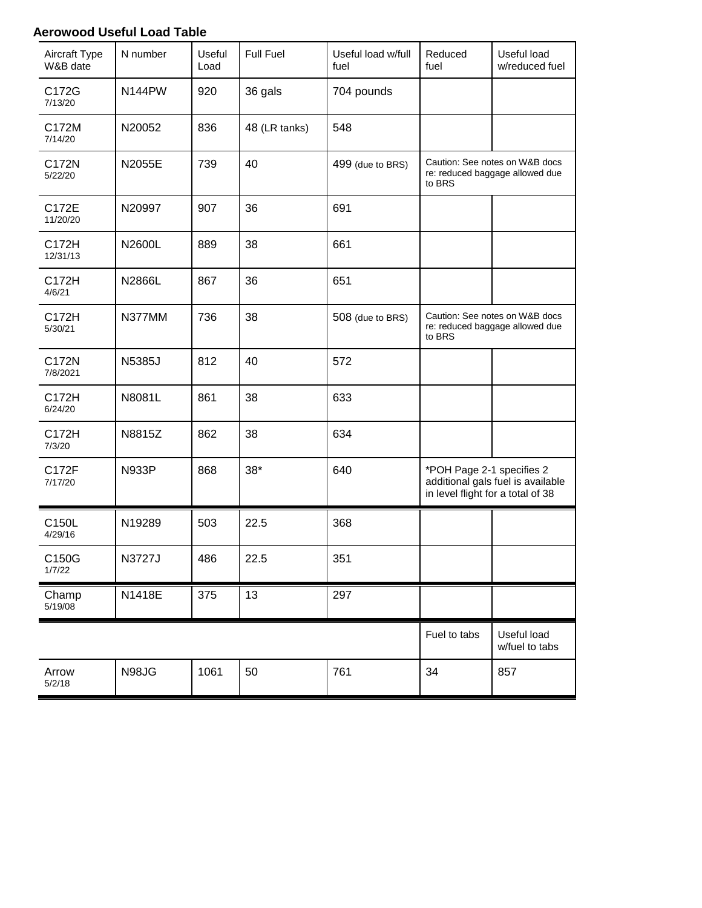## **Aerowood Useful Load Table**

| Aircraft Type<br>W&B date    | N number     | Useful<br>Load | <b>Full Fuel</b> | Useful load w/full<br>fuel | Reduced<br>fuel                                                                                     | Useful load<br>w/reduced fuel |
|------------------------------|--------------|----------------|------------------|----------------------------|-----------------------------------------------------------------------------------------------------|-------------------------------|
| C172G<br>7/13/20             | N144PW       | 920            | 36 gals          | 704 pounds                 |                                                                                                     |                               |
| C172M<br>7/14/20             | N20052       | 836            | 48 (LR tanks)    | 548                        |                                                                                                     |                               |
| C172N<br>5/22/20             | N2055E       | 739            | 40               | 499 (due to BRS)           | Caution: See notes on W&B docs<br>re: reduced baggage allowed due<br>to BRS                         |                               |
| C172E<br>11/20/20            | N20997       | 907            | 36               | 691                        |                                                                                                     |                               |
| C172H<br>12/31/13            | N2600L       | 889            | 38               | 661                        |                                                                                                     |                               |
| C172H<br>4/6/21              | N2866L       | 867            | 36               | 651                        |                                                                                                     |                               |
| C172H<br>5/30/21             | N377MM       | 736            | 38               | 508 (due to BRS)           | Caution: See notes on W&B docs<br>re: reduced baggage allowed due<br>to BRS                         |                               |
| C172N<br>7/8/2021            | N5385J       | 812            | 40               | 572                        |                                                                                                     |                               |
| C172H<br>6/24/20             | N8081L       | 861            | 38               | 633                        |                                                                                                     |                               |
| C172H<br>7/3/20              | N8815Z       | 862            | 38               | 634                        |                                                                                                     |                               |
| C172F<br>7/17/20             | <b>N933P</b> | 868            | $38*$            | 640                        | *POH Page 2-1 specifies 2<br>additional gals fuel is available<br>in level flight for a total of 38 |                               |
| C150L<br>4/29/16             | N19289       | 503            | 22.5             | 368                        |                                                                                                     |                               |
| C <sub>150</sub> G<br>1/7/22 | N3727J       | 486            | 22.5             | 351                        |                                                                                                     |                               |
| Champ<br>5/19/08             | N1418E       | 375            | 13               | 297                        |                                                                                                     |                               |
|                              |              |                |                  |                            | Fuel to tabs                                                                                        | Useful load<br>w/fuel to tabs |
| Arrow<br>5/2/18              | N98JG        | 1061           | 50               | 761                        | 34                                                                                                  | 857                           |